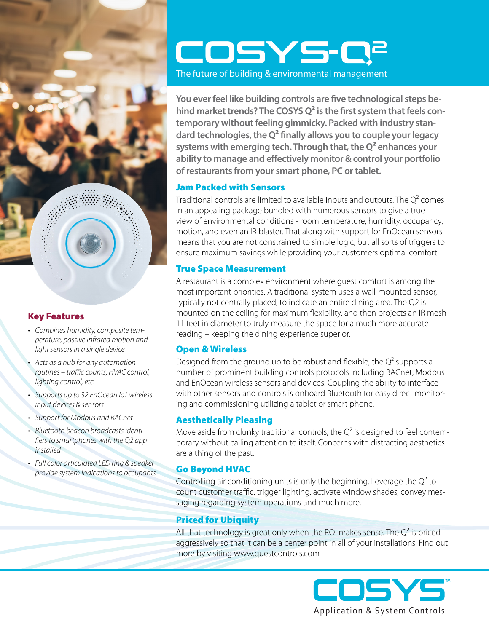

# Key Features

- *• Combines humidity, composite temperature, passive infrared motion and light sensors in a single device*
- *• Acts as a hub for any automation routines – traffic counts, HVAC control, lighting control, etc.*
- *• Supports up to 32 EnOcean IoT wireless input devices & sensors*
- *• Support for Modbus and BACnet*
- *• Bluetooth beacon broadcasts identifiers to smartphones with the Q2 app installed*
- *• Full color articulated LED ring & speaker provide system indications to occupants*

# COSYS<sup>-</sup>Q<sup>2</sup>

The future of building & environmental management

**You ever feel like building controls are five technological steps behind market trends? The COSYS Q2 is the first system that feels contemporary without feeling gimmicky. Packed with industry standard technologies, the Q2 finally allows you to couple your legacy systems with emerging tech. Through that, the Q2 enhances your ability to manage and effectively monitor & control your portfolio of restaurants from your smart phone, PC or tablet.** 

# Jam Packed with Sensors

Traditional controls are limited to available inputs and outputs. The  $Q^2$  comes in an appealing package bundled with numerous sensors to give a true view of environmental conditions - room temperature, humidity, occupancy, motion, and even an IR blaster. That along with support for EnOcean sensors means that you are not constrained to simple logic, but all sorts of triggers to ensure maximum savings while providing your customers optimal comfort.

# True Space Measurement

A restaurant is a complex environment where guest comfort is among the most important priorities. A traditional system uses a wall-mounted sensor, typically not centrally placed, to indicate an entire dining area. The Q2 is mounted on the ceiling for maximum flexibility, and then projects an IR mesh 11 feet in diameter to truly measure the space for a much more accurate reading – keeping the dining experience superior.

## Open & Wireless

Designed from the ground up to be robust and flexible, the  $Q^2$  supports a number of prominent building controls protocols including BACnet, Modbus and EnOcean wireless sensors and devices. Coupling the ability to interface with other sensors and controls is onboard Bluetooth for easy direct monitoring and commissioning utilizing a tablet or smart phone.

# Aesthetically Pleasing

Move aside from clunky traditional controls, the  $Q^2$  is designed to feel contemporary without calling attention to itself. Concerns with distracting aesthetics are a thing of the past.

## Go Beyond HVAC

Controlling air conditioning units is only the beginning. Leverage the  $Q^2$  to count customer traffic, trigger lighting, activate window shades, convey messaging regarding system operations and much more.

# Priced for Ubiquity

All that technology is great only when the ROI makes sense. The  $Q^2$  is priced aggressively so that it can be a center point in all of your installations. Find out more by visiting www.questcontrols.com